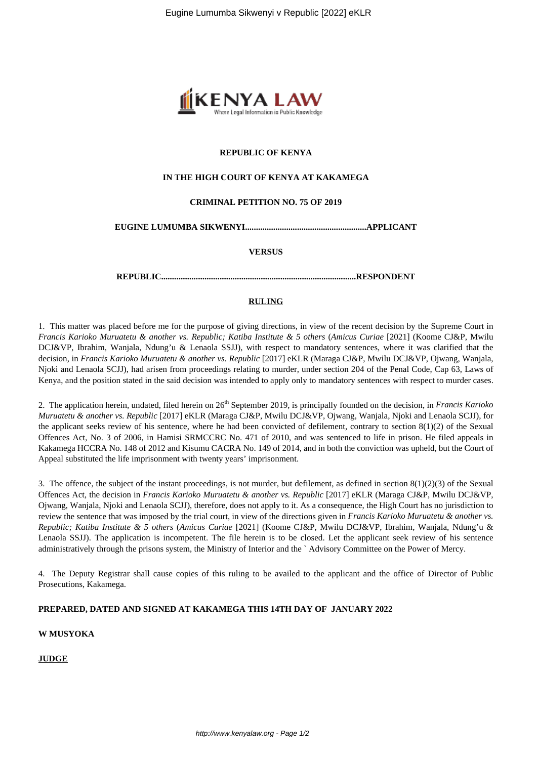

# **REPUBLIC OF KENYA**

## **IN THE HIGH COURT OF KENYA AT KAKAMEGA**

## **CRIMINAL PETITION NO. 75 OF 2019**

#### **EUGINE LUMUMBA SIKWENYI........................................................APPLICANT**

**VERSUS**

**REPUBLIC..........................................................................................RESPONDENT**

# **RULING**

1. This matter was placed before me for the purpose of giving directions, in view of the recent decision by the Supreme Court in *Francis Karioko Muruatetu & another vs. Republic; Katiba Institute & 5 others* (*Amicus Curiae* [2021] (Koome CJ&P, Mwilu DCJ&VP, Ibrahim, Wanjala, Ndung'u & Lenaola SSJJ), with respect to mandatory sentences, where it was clarified that the decision, in *Francis Karioko Muruatetu & another vs. Republic* [2017] eKLR (Maraga CJ&P, Mwilu DCJ&VP, Ojwang, Wanjala, Njoki and Lenaola SCJJ), had arisen from proceedings relating to murder, under section 204 of the Penal Code, Cap 63, Laws of Kenya, and the position stated in the said decision was intended to apply only to mandatory sentences with respect to murder cases.

2. The application herein, undated, filed herein on 26th September 2019, is principally founded on the decision, in *Francis Karioko Muruatetu & another vs. Republic* [2017] eKLR (Maraga CJ&P, Mwilu DCJ&VP, Ojwang, Wanjala, Njoki and Lenaola SCJJ), for the applicant seeks review of his sentence, where he had been convicted of defilement, contrary to section  $8(1)(2)$  of the Sexual Offences Act, No. 3 of 2006, in Hamisi SRMCCRC No. 471 of 2010, and was sentenced to life in prison. He filed appeals in Kakamega HCCRA No. 148 of 2012 and Kisumu CACRA No. 149 of 2014, and in both the conviction was upheld, but the Court of Appeal substituted the life imprisonment with twenty years' imprisonment.

3. The offence, the subject of the instant proceedings, is not murder, but defilement, as defined in section 8(1)(2)(3) of the Sexual Offences Act, the decision in *Francis Karioko Muruatetu & another vs. Republic* [2017] eKLR (Maraga CJ&P, Mwilu DCJ&VP, Ojwang, Wanjala, Njoki and Lenaola SCJJ), therefore, does not apply to it. As a consequence, the High Court has no jurisdiction to review the sentence that was imposed by the trial court, in view of the directions given in *Francis Karioko Muruatetu & another vs. Republic; Katiba Institute & 5 others* (*Amicus Curiae* [2021] (Koome CJ&P, Mwilu DCJ&VP, Ibrahim, Wanjala, Ndung'u & Lenaola SSJJ). The application is incompetent. The file herein is to be closed. Let the applicant seek review of his sentence administratively through the prisons system, the Ministry of Interior and the ` Advisory Committee on the Power of Mercy.

4. The Deputy Registrar shall cause copies of this ruling to be availed to the applicant and the office of Director of Public Prosecutions, Kakamega.

# **PREPARED, DATED AND SIGNED AT KAKAMEGA THIS 14TH DAY OF JANUARY 2022**

### **W MUSYOKA**

**JUDGE**